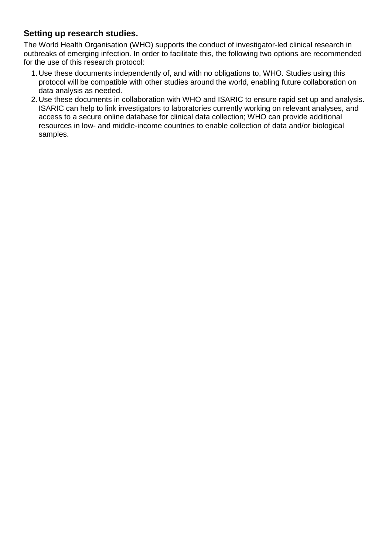## **Setting up research studies.**

The World Health Organisation (WHO) supports the conduct of investigator-led clinical research in outbreaks of emerging infection. In order to facilitate this, the following two options are recommended for the use of this research protocol:

- 1. Use these documents independently of, and with no obligations to, WHO. Studies using this protocol will be compatible with other studies around the world, enabling future collaboration on data analysis as needed.
- 2. Use these documents in collaboration with WHO and ISARIC to ensure rapid set up and analysis. ISARIC can help to link investigators to laboratories currently working on relevant analyses, and access to a secure online database for clinical data collection; WHO can provide additional resources in low- and middle-income countries to enable collection of data and/or biological samples.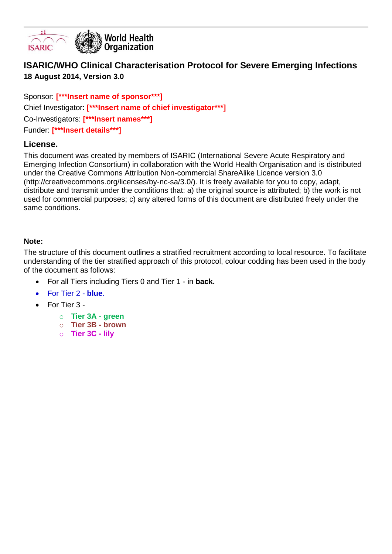

# **ISARIC/WHO Clinical Characterisation Protocol for Severe Emerging Infections 18 August 2014, Version 3.0**

Sponsor: **[\*\*\*Insert name of sponsor\*\*\*]** Chief Investigator: **[\*\*\*Insert name of chief investigator\*\*\*]** Co-Investigators: **[\*\*\*Insert names\*\*\*]** Funder: **[\*\*\*Insert details\*\*\*]**

### **License.**

This document was created by members of ISARIC (International Severe Acute Respiratory and Emerging Infection Consortium) in collaboration with the World Health Organisation and is distributed under the Creative Commons Attribution Non-commercial ShareAlike Licence version 3.0 (http://creativecommons.org/licenses/by-nc-sa/3.0/). It is freely available for you to copy, adapt, distribute and transmit under the conditions that: a) the original source is attributed; b) the work is not used for commercial purposes; c) any altered forms of this document are distributed freely under the same conditions.

### **Note:**

The structure of this document outlines a stratified recruitment according to local resource. To facilitate understanding of the tier stratified approach of this protocol, colour codding has been used in the body of the document as follows:

- For all Tiers including Tiers 0 and Tier 1 in **back.**
- For Tier 2 **blue**.
- For Tier 3
	- o **Tier 3A - green**
	- o **Tier 3B - brown**
	- o **Tier 3C - lily**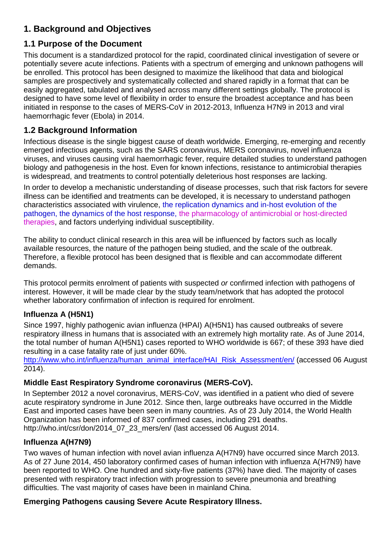# **1. Background and Objectives**

# **1.1 Purpose of the Document**

This document is a standardized protocol for the rapid, coordinated clinical investigation of severe or potentially severe acute infections. Patients with a spectrum of emerging and unknown pathogens will be enrolled. This protocol has been designed to maximize the likelihood that data and biological samples are prospectively and systematically collected and shared rapidly in a format that can be easily aggregated, tabulated and analysed across many different settings globally. The protocol is designed to have some level of flexibility in order to ensure the broadest acceptance and has been initiated in response to the cases of MERS-CoV in 2012-2013, Influenza H7N9 in 2013 and viral haemorrhagic fever (Ebola) in 2014.

# **1.2 Background Information**

Infectious disease is the single biggest cause of death worldwide. Emerging, re-emerging and recently emerged infectious agents, such as the SARS coronavirus, MERS coronavirus, novel influenza viruses, and viruses causing viral haemorrhagic fever, require detailed studies to understand pathogen biology and pathogenesis in the host. Even for known infections, resistance to antimicrobial therapies is widespread, and treatments to control potentially deleterious host responses are lacking.

In order to develop a mechanistic understanding of disease processes, such that risk factors for severe illness can be identified and treatments can be developed, it is necessary to understand pathogen characteristics associated with virulence, the replication dynamics and in-host evolution of the pathogen, the dynamics of the host response, the pharmacology of antimicrobial or host-directed therapies, and factors underlying individual susceptibility.

The ability to conduct clinical research in this area will be influenced by factors such as locally available resources, the nature of the pathogen being studied, and the scale of the outbreak. Therefore, a flexible protocol has been designed that is flexible and can accommodate different demands.

This protocol permits enrolment of patients with suspected *or* confirmed infection with pathogens of interest. However, it will be made clear by the study team/network that has adopted the protocol whether laboratory confirmation of infection is required for enrolment.

## **Influenza A (H5N1)**

Since 1997, highly pathogenic avian influenza (HPAI) A(H5N1) has caused outbreaks of severe respiratory illness in humans that is associated with an extremely high mortality rate. As of June 2014, the total number of human A(H5N1) cases reported to WHO worldwide is 667; of these 393 have died resulting in a case fatality rate of just under 60%.

[http://www.who.int/influenza/human\\_animal\\_interface/HAI\\_Risk\\_Assessment/en/](http://www.who.int/influenza/human_animal_interface/HAI_Risk_Assessment/en/) (accessed 06 August 2014).

## **Middle East Respiratory Syndrome coronavirus (MERS-CoV).**

In September 2012 a novel coronavirus, MERS-CoV, was identified in a patient who died of severe acute respiratory syndrome in June 2012. Since then, large outbreaks have occurred in the Middle East and imported cases have been seen in many countries. As of 23 July 2014, the World Health Organization has been informed of 837 confirmed cases, including 291 deaths. http://who.int/csr/don/2014\_07\_23\_mers/en/ (last accessed 06 August 2014.

## **Influenza A(H7N9)**

Two waves of human infection with novel avian influenza A(H7N9) have occurred since March 2013. As of 27 June 2014, 450 laboratory confirmed cases of human infection with influenza A(H7N9) have been reported to WHO. One hundred and sixty-five patients (37%) have died. The majority of cases presented with respiratory tract infection with progression to severe pneumonia and breathing difficulties. The vast majority of cases have been in mainland China.

### **Emerging Pathogens causing Severe Acute Respiratory Illness.**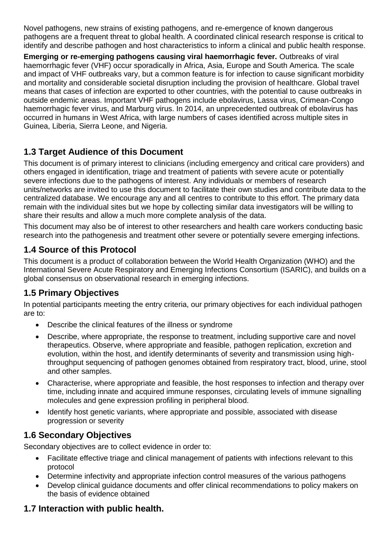Novel pathogens, new strains of existing pathogens, and re-emergence of known dangerous pathogens are a frequent threat to global health. A coordinated clinical research response is critical to identify and describe pathogen and host characteristics to inform a clinical and public health response.

**Emerging or re-emerging pathogens causing viral haemorrhagic fever.** Outbreaks of viral haemorrhagic fever (VHF) occur sporadically in Africa, Asia, Europe and South America. The scale and impact of VHF outbreaks vary, but a common feature is for infection to cause significant morbidity and mortality and considerable societal disruption including the provision of healthcare. Global travel means that cases of infection are exported to other countries, with the potential to cause outbreaks in outside endemic areas. Important VHF pathogens include ebolavirus, Lassa virus, Crimean-Congo haemorrhagic fever virus, and Marburg virus. In 2014, an unprecedented outbreak of ebolavirus has occurred in humans in West Africa, with large numbers of cases identified across multiple sites in Guinea, Liberia, Sierra Leone, and Nigeria.

# **1.3 Target Audience of this Document**

This document is of primary interest to clinicians (including emergency and critical care providers) and others engaged in identification, triage and treatment of patients with severe acute or potentially severe infections due to the pathogens of interest. Any individuals or members of research units/networks are invited to use this document to facilitate their own studies and contribute data to the centralized database. We encourage any and all centres to contribute to this effort. The primary data remain with the individual sites but we hope by collecting similar data investigators will be willing to share their results and allow a much more complete analysis of the data.

This document may also be of interest to other researchers and health care workers conducting basic research into the pathogenesis and treatment other severe or potentially severe emerging infections.

# **1.4 Source of this Protocol**

This document is a product of collaboration between the World Health Organization (WHO) and the International Severe Acute Respiratory and Emerging Infections Consortium (ISARIC), and builds on a global consensus on observational research in emerging infections.

# **1.5 Primary Objectives**

In potential participants meeting the entry criteria, our primary objectives for each individual pathogen are to:

- Describe the clinical features of the illness or syndrome
- Describe, where appropriate, the response to treatment, including supportive care and novel therapeutics. Observe, where appropriate and feasible, pathogen replication, excretion and evolution, within the host, and identify determinants of severity and transmission using highthroughput sequencing of pathogen genomes obtained from respiratory tract, blood, urine, stool and other samples.
- Characterise, where appropriate and feasible, the host responses to infection and therapy over time, including innate and acquired immune responses, circulating levels of immune signalling molecules and gene expression profiling in peripheral blood.
- Identify host genetic variants, where appropriate and possible, associated with disease progression or severity

# **1.6 Secondary Objectives**

Secondary objectives are to collect evidence in order to:

- Facilitate effective triage and clinical management of patients with infections relevant to this protocol
- Determine infectivity and appropriate infection control measures of the various pathogens
- Develop clinical guidance documents and offer clinical recommendations to policy makers on the basis of evidence obtained

# **1.7 Interaction with public health.**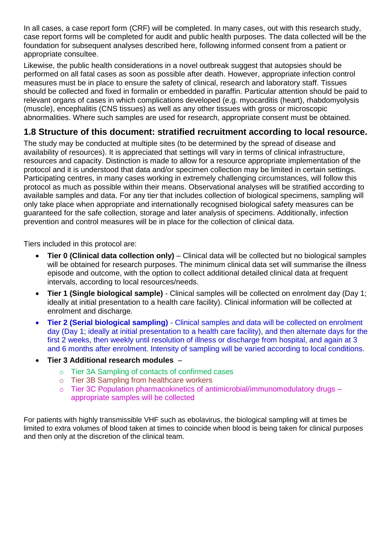In all cases, a case report form (CRF) will be completed. In many cases, out with this research study, case report forms will be completed for audit and public health purposes. The data collected will be the foundation for subsequent analyses described here, following informed consent from a patient or appropriate consultee.

Likewise, the public health considerations in a novel outbreak suggest that autopsies should be performed on all fatal cases as soon as possible after death. However, appropriate infection control measures must be in place to ensure the safety of clinical, research and laboratory staff. Tissues should be collected and fixed in formalin or embedded in paraffin. Particular attention should be paid to relevant organs of cases in which complications developed (e.g. myocarditis (heart), rhabdomyolysis (muscle), encephalitis (CNS tissues) as well as any other tissues with gross or microscopic abnormalities. Where such samples are used for research, appropriate consent must be obtained.

# **1.8 Structure of this document: stratified recruitment according to local resource.**

The study may be conducted at multiple sites (to be determined by the spread of disease and availability of resources). It is appreciated that settings will vary in terms of clinical infrastructure, resources and capacity. Distinction is made to allow for a resource appropriate implementation of the protocol and it is understood that data and/or specimen collection may be limited in certain settings. Participating centres, in many cases working in extremely challenging circumstances, will follow this protocol as much as possible within their means. Observational analyses will be stratified according to available samples and data. For any tier that includes collection of biological specimens, sampling will only take place when appropriate and internationally recognised biological safety measures can be guaranteed for the safe collection, storage and later analysis of specimens. Additionally, infection prevention and control measures will be in place for the collection of clinical data.

Tiers included in this protocol are:

- **Tier 0 (Clinical data collection only)** Clinical data will be collected but no biological samples will be obtained for research purposes. The minimum clinical data set will summarise the illness episode and outcome, with the option to collect additional detailed clinical data at frequent intervals, according to local resources/needs.
- **Tier 1 (Single biological sample)** Clinical samples will be collected on enrolment day (Day 1; ideally at initial presentation to a health care facility). Clinical information will be collected at enrolment and discharge.
- **Tier 2 (Serial biological sampling)** Clinical samples and data will be collected on enrolment day (Day 1; ideally at initial presentation to a health care facility), and then alternate days for the first 2 weeks, then weekly until resolution of illness or discharge from hospital, and again at 3 and 6 months after enrolment. Intensity of sampling will be varied according to local conditions.
- **Tier 3 Additional research modules**
	- o Tier 3A Sampling of contacts of confirmed cases
	- o Tier 3B Sampling from healthcare workers
	- o Tier 3C Population pharmacokinetics of antimicrobial/immunomodulatory drugs appropriate samples will be collected

For patients with highly transmissible VHF such as ebolavirus, the biological sampling will at times be limited to extra volumes of blood taken at times to coincide when blood is being taken for clinical purposes and then only at the discretion of the clinical team.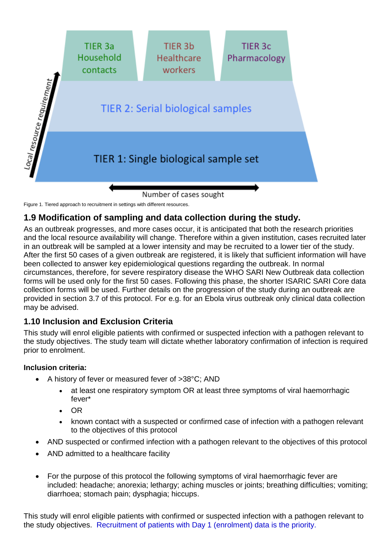

Figure 1. Tiered approach to recruitment in settings with different resources.

# **1.9 Modification of sampling and data collection during the study.**

As an outbreak progresses, and more cases occur, it is anticipated that both the research priorities and the local resource availability will change. Therefore within a given institution, cases recruited later in an outbreak will be sampled at a lower intensity and may be recruited to a lower tier of the study. After the first 50 cases of a given outbreak are registered, it is likely that sufficient information will have been collected to answer key epidemiological questions regarding the outbreak. In normal circumstances, therefore, for severe respiratory disease the WHO SARI New Outbreak data collection forms will be used only for the first 50 cases. Following this phase, the shorter ISARIC SARI Core data collection forms will be used. Further details on the progression of the study during an outbreak are provided in section 3.7 of this protocol. For e.g. for an Ebola virus outbreak only clinical data collection may be advised.

## **1.10 Inclusion and Exclusion Criteria**

This study will enrol eligible patients with confirmed or suspected infection with a pathogen relevant to the study objectives. The study team will dictate whether laboratory confirmation of infection is required prior to enrolment.

#### **Inclusion criteria:**

- A history of fever or measured fever of >38°C; AND
	- at least one respiratory symptom OR at least three symptoms of viral haemorrhagic fever\*
	- OR
	- known contact with a suspected or confirmed case of infection with a pathogen relevant to the objectives of this protocol
- AND suspected or confirmed infection with a pathogen relevant to the objectives of this protocol
- AND admitted to a healthcare facility
- For the purpose of this protocol the following symptoms of viral haemorrhagic fever are included: headache; anorexia; lethargy; aching muscles or joints; breathing difficulties; vomiting; diarrhoea; stomach pain; dysphagia; hiccups.

This study will enrol eligible patients with confirmed or suspected infection with a pathogen relevant to the study objectives. Recruitment of patients with Day 1 (enrolment) data is the priority.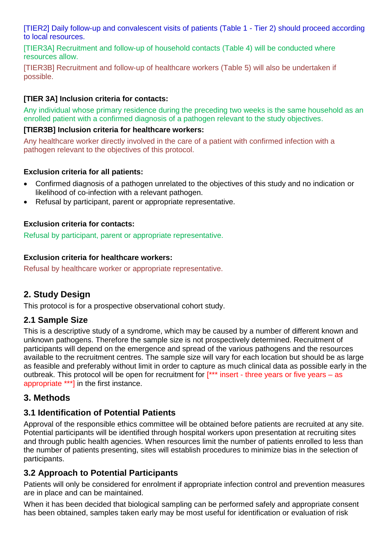[TIER2] Daily follow-up and convalescent visits of patients (Table 1 - Tier 2) should proceed according to local resources.

[TIER3A] Recruitment and follow-up of household contacts (Table 4) will be conducted where resources allow.

[TIER3B] Recruitment and follow-up of healthcare workers (Table 5) will also be undertaken if possible.

### **[TIER 3A] Inclusion criteria for contacts:**

Any individual whose primary residence during the preceding two weeks is the same household as an enrolled patient with a confirmed diagnosis of a pathogen relevant to the study objectives.

#### **[TIER3B] Inclusion criteria for healthcare workers:**

Any healthcare worker directly involved in the care of a patient with confirmed infection with a pathogen relevant to the objectives of this protocol.

#### **Exclusion criteria for all patients:**

- Confirmed diagnosis of a pathogen unrelated to the objectives of this study and no indication or likelihood of co-infection with a relevant pathogen.
- Refusal by participant, parent or appropriate representative.

### **Exclusion criteria for contacts:**

Refusal by participant, parent or appropriate representative.

#### **Exclusion criteria for healthcare workers:**

Refusal by healthcare worker or appropriate representative.

## **2. Study Design**

This protocol is for a prospective observational cohort study.

### **2.1 Sample Size**

This is a descriptive study of a syndrome, which may be caused by a number of different known and unknown pathogens. Therefore the sample size is not prospectively determined. Recruitment of participants will depend on the emergence and spread of the various pathogens and the resources available to the recruitment centres. The sample size will vary for each location but should be as large as feasible and preferably without limit in order to capture as much clinical data as possible early in the outbreak. This protocol will be open for recruitment for [\*\*\* insert - three years or five years – as appropriate \*\*\*] in the first instance.

### **3. Methods**

## **3.1 Identification of Potential Patients**

Approval of the responsible ethics committee will be obtained before patients are recruited at any site. Potential participants will be identified through hospital workers upon presentation at recruiting sites and through public health agencies. When resources limit the number of patients enrolled to less than the number of patients presenting, sites will establish procedures to minimize bias in the selection of participants.

## **3.2 Approach to Potential Participants**

Patients will only be considered for enrolment if appropriate infection control and prevention measures are in place and can be maintained.

When it has been decided that biological sampling can be performed safely and appropriate consent has been obtained, samples taken early may be most useful for identification or evaluation of risk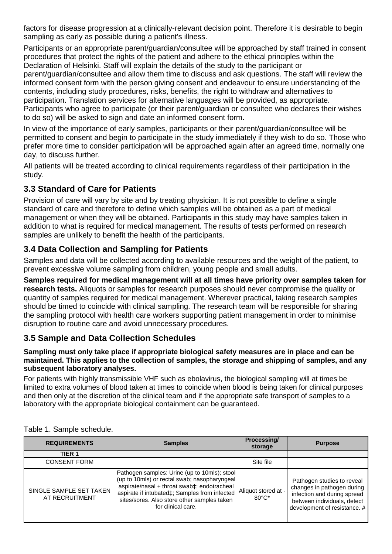factors for disease progression at a clinically-relevant decision point. Therefore it is desirable to begin sampling as early as possible during a patient's illness.

Participants or an appropriate parent/guardian/consultee will be approached by staff trained in consent procedures that protect the rights of the patient and adhere to the ethical principles within the Declaration of Helsinki. Staff will explain the details of the study to the participant or parent/guardian/consultee and allow them time to discuss and ask questions. The staff will review the informed consent form with the person giving consent and endeavour to ensure understanding of the contents, including study procedures, risks, benefits, the right to withdraw and alternatives to participation. Translation services for alternative languages will be provided, as appropriate. Participants who agree to participate (or their parent/guardian or consultee who declares their wishes to do so) will be asked to sign and date an informed consent form.

In view of the importance of early samples, participants or their parent/guardian/consultee will be permitted to consent and begin to participate in the study immediately if they wish to do so. Those who prefer more time to consider participation will be approached again after an agreed time, normally one day, to discuss further.

All patients will be treated according to clinical requirements regardless of their participation in the study.

# **3.3 Standard of Care for Patients**

Provision of care will vary by site and by treating physician. It is not possible to define a single standard of care and therefore to define which samples will be obtained as a part of medical management or when they will be obtained. Participants in this study may have samples taken in addition to what is required for medical management. The results of tests performed on research samples are unlikely to benefit the health of the participants.

## **3.4 Data Collection and Sampling for Patients**

Samples and data will be collected according to available resources and the weight of the patient, to prevent excessive volume sampling from children, young people and small adults.

**Samples required for medical management will at all times have priority over samples taken for research tests.** Aliquots or samples for research purposes should never compromise the quality or quantity of samples required for medical management. Wherever practical, taking research samples should be timed to coincide with clinical sampling. The research team will be responsible for sharing the sampling protocol with health care workers supporting patient management in order to minimise disruption to routine care and avoid unnecessary procedures.

# **3.5 Sample and Data Collection Schedules**

#### **Sampling must only take place if appropriate biological safety measures are in place and can be maintained. This applies to the collection of samples, the storage and shipping of samples, and any subsequent laboratory analyses.**

For patients with highly transmissible VHF such as ebolavirus, the biological sampling will at times be limited to extra volumes of blood taken at times to coincide when blood is being taken for clinical purposes and then only at the discretion of the clinical team and if the appropriate safe transport of samples to a laboratory with the appropriate biological containment can be guaranteed.

| <b>REQUIREMENTS</b>                       | <b>Samples</b>                                                                                                                                                                                                                                                    | Processing/<br>storage                 | <b>Purpose</b>                                                                                                                                         |
|-------------------------------------------|-------------------------------------------------------------------------------------------------------------------------------------------------------------------------------------------------------------------------------------------------------------------|----------------------------------------|--------------------------------------------------------------------------------------------------------------------------------------------------------|
| TIER <sub>1</sub>                         |                                                                                                                                                                                                                                                                   |                                        |                                                                                                                                                        |
| <b>CONSENT FORM</b>                       |                                                                                                                                                                                                                                                                   | Site file                              |                                                                                                                                                        |
| SINGLE SAMPLE SET TAKEN<br>AT RECRUITMENT | Pathogen samples: Urine (up to 10mls); stool<br>(up to 10mls) or rectal swab; nasopharyngeal<br>aspirate/nasal + throat swab‡; endotracheal<br>aspirate if intubated‡; Samples from infected<br>sites/sores. Also store other samples taken<br>for clinical care. | Aliquot stored at -<br>$80^{\circ}$ C* | Pathogen studies to reveal<br>changes in pathogen during<br>infection and during spread<br>between individuals, detect<br>development of resistance. # |

Table 1. Sample schedule.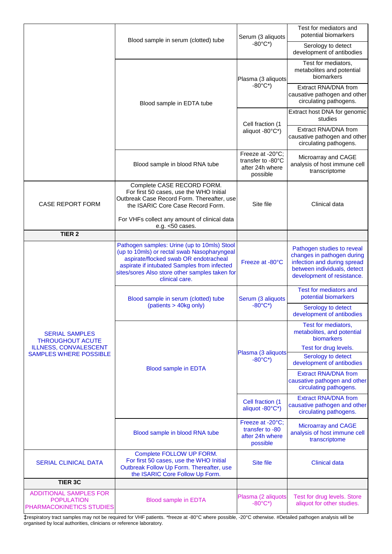|                                                                                |                                                                                                                                                                                                                                                        | Serum (3 aliquots                                                    | Test for mediators and<br>potential biomarkers                                                                                                       |  |
|--------------------------------------------------------------------------------|--------------------------------------------------------------------------------------------------------------------------------------------------------------------------------------------------------------------------------------------------------|----------------------------------------------------------------------|------------------------------------------------------------------------------------------------------------------------------------------------------|--|
|                                                                                | Blood sample in serum (clotted) tube                                                                                                                                                                                                                   | $-80^{\circ}$ C*)                                                    | Serology to detect<br>development of antibodies                                                                                                      |  |
|                                                                                |                                                                                                                                                                                                                                                        | Plasma (3 aliquots                                                   | Test for mediators,<br>metabolites and potential<br>biomarkers                                                                                       |  |
|                                                                                | Blood sample in EDTA tube                                                                                                                                                                                                                              | $-80^{\circ}$ C*)                                                    | Extract RNA/DNA from<br>causative pathogen and other<br>circulating pathogens.                                                                       |  |
|                                                                                |                                                                                                                                                                                                                                                        | Cell fraction (1                                                     | Extract host DNA for genomic<br>studies                                                                                                              |  |
|                                                                                |                                                                                                                                                                                                                                                        | aliquot -80°C*)                                                      | Extract RNA/DNA from<br>causative pathogen and other<br>circulating pathogens.                                                                       |  |
|                                                                                | Blood sample in blood RNA tube                                                                                                                                                                                                                         | Freeze at -20°C;<br>transfer to -80°C<br>after 24h where<br>possible | Microarray and CAGE<br>analysis of host immune cell<br>transcriptome                                                                                 |  |
| <b>CASE REPORT FORM</b>                                                        | Complete CASE RECORD FORM.<br>For first 50 cases, use the WHO Initial<br>Outbreak Case Record Form. Thereafter, use<br>the ISARIC Core Case Record Form.                                                                                               | Site file                                                            | Clinical data                                                                                                                                        |  |
|                                                                                | For VHFs collect any amount of clinical data<br>e.g. $<$ 50 cases.                                                                                                                                                                                     |                                                                      |                                                                                                                                                      |  |
| TIER <sub>2</sub>                                                              |                                                                                                                                                                                                                                                        |                                                                      |                                                                                                                                                      |  |
|                                                                                | Pathogen samples: Urine (up to 10mls) Stool<br>(up to 10mls) or rectal swab Nasopharyngeal<br>aspirate/flocked swab OR endotracheal<br>aspirate if intubated Samples from infected<br>sites/sores Also store other samples taken for<br>clinical care. | Freeze at -80°C                                                      | Pathogen studies to reveal<br>changes in pathogen during<br>infection and during spread<br>between individuals, detect<br>development of resistance. |  |
|                                                                                | Blood sample in serum (clotted) tube                                                                                                                                                                                                                   | Serum (3 aliquots                                                    | Test for mediators and<br>potential biomarkers                                                                                                       |  |
|                                                                                | (patients > 40kg only)                                                                                                                                                                                                                                 | $-80^{\circ}$ C*)                                                    | Serology to detect<br>development of antibodies                                                                                                      |  |
| <b>SERIAL SAMPLES</b><br><b>THROUGHOUT ACUTE</b>                               |                                                                                                                                                                                                                                                        |                                                                      | Test for mediators,<br>metabolites, and potential<br>biomarkers                                                                                      |  |
| <b>ILLNESS, CONVALESCENT</b><br><b>SAMPLES WHERE POSSIBLE</b>                  |                                                                                                                                                                                                                                                        | Plasma (3 aliquots                                                   | Test for drug levels.<br>Serology to detect                                                                                                          |  |
|                                                                                | <b>Blood sample in EDTA</b>                                                                                                                                                                                                                            | $-80^{\circ}$ C*)                                                    | development of antibodies                                                                                                                            |  |
|                                                                                |                                                                                                                                                                                                                                                        |                                                                      | <b>Extract RNA/DNA from</b><br>causative pathogen and other<br>circulating pathogens.                                                                |  |
|                                                                                |                                                                                                                                                                                                                                                        | Cell fraction (1<br>aliquot -80°C*)                                  | <b>Extract RNA/DNA from</b><br>causative pathogen and other<br>circulating pathogens.                                                                |  |
|                                                                                | Blood sample in blood RNA tube                                                                                                                                                                                                                         | Freeze at -20°C;<br>transfer to -80<br>after 24h where<br>possible   | <b>Microarray and CAGE</b><br>analysis of host immune cell<br>transcriptome                                                                          |  |
| <b>SERIAL CLINICAL DATA</b>                                                    | Complete FOLLOW UP FORM.<br>For first 50 cases, use the WHO Initial<br>Outbreak Follow Up Form. Thereafter, use<br>the ISARIC Core Follow Up Form.                                                                                                     | Site file                                                            | <b>Clinical data</b>                                                                                                                                 |  |
| <b>TIER 3C</b>                                                                 |                                                                                                                                                                                                                                                        |                                                                      |                                                                                                                                                      |  |
| <b>ADDITIONAL SAMPLES FOR</b><br><b>POPULATION</b><br>PHARMACOKINETICS STUDIES | <b>Blood sample in EDTA</b>                                                                                                                                                                                                                            | Plasma (2 aliquots<br>$-80^{\circ}$ C*)                              | Test for drug levels. Store<br>aliquot for other studies.                                                                                            |  |

‡respiratory tract samples may not be required for VHF patients. \*freeze at -80°C where possible, -20°C otherwise. #Detailed pathogen analysis will be organised by local authorities, clinicians or reference laboratory.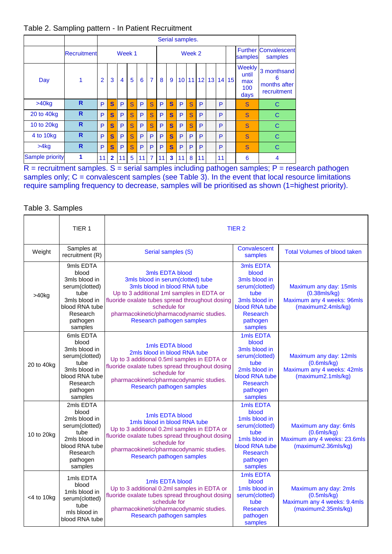#### Table 2. Sampling pattern - In Patient Recruitment

|                 |              |                | Serial samples. |                |   |    |                |    |              |    |           |                 |                 |    |       |                                       |                                                 |
|-----------------|--------------|----------------|-----------------|----------------|---|----|----------------|----|--------------|----|-----------|-----------------|-----------------|----|-------|---------------------------------------|-------------------------------------------------|
|                 | Recruitment  |                |                 | Week 1         |   |    |                |    |              |    | Week 2    |                 |                 |    |       | samples                               | <b>Further Convalescent</b><br>samples          |
| Day             | $\mathbf{1}$ | $\overline{2}$ | 3               | $\overline{4}$ | 5 | 6  | $\overline{7}$ | 8  | 9            |    | $10 \ 11$ | 12 <sup>1</sup> | 13 <sup>1</sup> |    | 14 15 | Weekly<br>until<br>max<br>100<br>days | 3 monthsand<br>6<br>months after<br>recruitment |
| $>40$ kg        | R            | P              | S               | P              | S | P  | $\mathbf{s}$   | P  | $\mathbf{s}$ | P  | S         | P               |                 | P  |       | S                                     | C                                               |
| 20 to 40kg      | R            | P              | S               | P              | S | P  | S              | P  | S            | P  | S         | P               |                 | P  |       | S                                     | C                                               |
| 10 to 20kg      | R            | P              | S               | P              | S | P  | <sub>S</sub>   | P  | S            | P  | S         | P               |                 | P  |       | S                                     | C                                               |
| 4 to 10kg       | R            | P              | S               | P              | S | P  | P              | P  | S            | P  | P         | P               |                 | P  |       | S                                     | C                                               |
| >4kg            | R            | P              | S               | P              | S | P  | P              | P  | S            | P  | P         | P               |                 | P  |       | S                                     | C                                               |
| Sample priority | 1            | 11             | $\overline{2}$  | 11             | 5 | 11 | $\overline{7}$ | 11 | 3            | 11 | 8         | 11              |                 | 11 |       | 6                                     | $\overline{4}$                                  |

 $R$  = recruitment samples. S = serial samples including pathogen samples; P = research pathogen samples only; C = convalescent samples (see Table 3). In the event that local resource limitations require sampling frequency to decrease, samples will be prioritised as shown (1=highest priority).

#### Table 3. Samples

|                  | TIER 1                                                                                                                              |                                                                                                                                                                                                                                                                               | TIER <sub>2</sub>                                                                                                                          |                                                                                                   |
|------------------|-------------------------------------------------------------------------------------------------------------------------------------|-------------------------------------------------------------------------------------------------------------------------------------------------------------------------------------------------------------------------------------------------------------------------------|--------------------------------------------------------------------------------------------------------------------------------------------|---------------------------------------------------------------------------------------------------|
| Weight           | Samples at<br>recruitment (R)                                                                                                       | Serial samples (S)                                                                                                                                                                                                                                                            | Convalescent<br>samples                                                                                                                    | <b>Total Volumes of blood taken</b>                                                               |
| $>40$ kg         | 9mls EDTA<br>blood<br>3mls blood in<br>serum(clotted)<br>tube<br>3mls blood in<br>blood RNA tube<br>Research<br>pathogen<br>samples | 3mls EDTA blood<br>3mls blood in serum(clotted) tube<br>3mls blood in blood RNA tube<br>Up to 3 additional 1ml samples in EDTA or<br>fluoride oxalate tubes spread throughout dosing<br>schedule for<br>pharmacokinetic/pharmacodynamic studies.<br>Research pathogen samples | 3mls EDTA<br>blood<br>3mls blood in<br>serum(clotted)<br>tube<br>3mls blood in<br>blood RNA tube<br><b>Research</b><br>pathogen<br>samples | Maximum any day: 15mls<br>$(0.38$ mls/kg)<br>Maximum any 4 weeks: 96mls<br>(maximum2.4mls/kg)     |
| 20 to 40kg       | 6mls EDTA<br>blood<br>3mls blood in<br>serum(clotted)<br>tube<br>3mls blood in<br>blood RNA tube<br>Research<br>pathogen<br>samples | 1mls EDTA blood<br>2mls blood in blood RNA tube<br>Up to 3 additional 0.5ml samples in EDTA or<br>fluoride oxalate tubes spread throughout dosing<br>schedule for<br>pharmacokinetic/pharmacodynamic studies.<br>Research pathogen samples                                    | 1mls EDTA<br>blood<br>3mls blood in<br>serum(clotted)<br>tube<br>2mls blood in<br>blood RNA tube<br><b>Research</b><br>pathogen<br>samples | Maximum any day: 12mls<br>$(0.6$ mls/ $kg)$<br>Maximum any 4 weeks: 42mls<br>(maximum2.1mls/kg)   |
| 10 to 20kg       | 2mls EDTA<br>blood<br>2mls blood in<br>serum(clotted)<br>tube<br>2mls blood in<br>blood RNA tube<br>Research<br>pathogen<br>samples | 1mls EDTA blood<br>1mls blood in blood RNA tube<br>Up to 3 additional 0.2ml samples in EDTA or<br>fluoride oxalate tubes spread throughout dosing<br>schedule for<br>pharmacokinetic/pharmacodynamic studies.<br>Research pathogen samples                                    | 1mls EDTA<br>blood<br>1mls blood in<br>serum(clotted)<br>tube<br>1mls blood in<br>blood RNA tube<br><b>Research</b><br>pathogen<br>samples | Maximum any day: 6mls<br>$(0.6$ mls/ $kg)$<br>Maximum any 4 weeks: 23.6mls<br>(maximum2.36mls/kg) |
| $<$ 4 to 10 $kg$ | 1mls EDTA<br>blood<br>1mls blood in<br>serum(clotted)<br>tube<br>mls blood in<br>blood RNA tube                                     | 1mls EDTA blood<br>Up to 3 additional 0.2ml samples in EDTA or<br>fluoride oxalate tubes spread throughout dosing<br>schedule for<br>pharmacokinetic/pharmacodynamic studies.<br>Research pathogen samples                                                                    | 1mls EDTA<br>blood<br>1mls blood in<br>serum(clotted)<br>tube<br><b>Research</b><br>pathogen<br>samples                                    | Maximum any day: 2mls<br>$(0.5$ mls/kg $)$<br>Maximum any 4 weeks: 9.4mls<br>(maximum2.35mls/kg)  |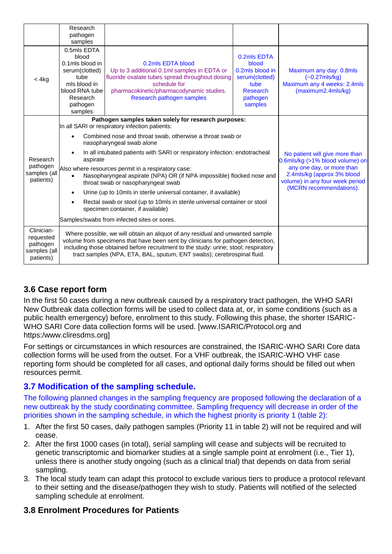|                                                                  | Research<br>pathogen<br>samples                                                                                                                                                                                                                                                                                                                                                                                                                                                                                                                                                                                                                                                                                                                                                                                                                                                                    |                                                                                                                                                                                                              |                                                                                                             |                                                                                                  |  |  |
|------------------------------------------------------------------|----------------------------------------------------------------------------------------------------------------------------------------------------------------------------------------------------------------------------------------------------------------------------------------------------------------------------------------------------------------------------------------------------------------------------------------------------------------------------------------------------------------------------------------------------------------------------------------------------------------------------------------------------------------------------------------------------------------------------------------------------------------------------------------------------------------------------------------------------------------------------------------------------|--------------------------------------------------------------------------------------------------------------------------------------------------------------------------------------------------------------|-------------------------------------------------------------------------------------------------------------|--------------------------------------------------------------------------------------------------|--|--|
| < 4kg                                                            | 0.5mls EDTA<br>blood<br>0.1mls blood in<br>serum(clotted)<br>tube<br>mls blood in<br>blood RNA tube<br>Research<br>pathogen<br>samples                                                                                                                                                                                                                                                                                                                                                                                                                                                                                                                                                                                                                                                                                                                                                             | 0.2mls EDTA blood<br>Up to 3 additional 0.1ml samples in EDTA or<br>fluoride oxalate tubes spread throughout dosing<br>schedule for<br>pharmacokinetic/pharmacodynamic studies.<br>Research pathogen samples | 0.2mls EDTA<br>blood<br>0.2mls blood in<br>serum(clotted)<br>tube<br><b>Research</b><br>pathogen<br>samples | Maximum any day: 0.8mls<br>$(-0.27$ mls/kg)<br>Maximum any 4 weeks: 2.4mls<br>(maximum2.4mls/kg) |  |  |
| Research<br>pathogen<br>samples (all<br>patients)                | Pathogen samples taken solely for research purposes:<br>In all SARI or respiratory infection patients:<br>Combined nose and throat swab, otherwise a throat swab or<br>nasopharyngeal swab alone<br>In all intubated patients with SARI or respiratory infection: endotracheal<br>No patient will give more than<br>aspirate<br>0.6mls/kg (>1% blood volume) on<br>any one day, or more than<br>Also where resources permit in a respiratory case:<br>2.4mls/kg (approx 3% blood<br>Nasopharyngeal aspirate (NPA) OR (if NPA impossible) flocked nose and<br>volume) in any four week period<br>throat swab or nasopharyngeal swab<br>(MCRN recommendations).<br>Urine (up to 10mls in sterile universal container, if available)<br>Rectal swab or stool (up to 10mls in sterile universal container or stool<br>specimen container, if available)<br>Samples/swabs from infected sites or sores. |                                                                                                                                                                                                              |                                                                                                             |                                                                                                  |  |  |
| Clinician-<br>requested<br>pathogen<br>samples (all<br>patients) | Where possible, we will obtain an aliquot of any residual and unwanted sample<br>volume from specimens that have been sent by clinicians for pathogen detection,<br>including those obtained before recruitment to the study: urine; stool; respiratory<br>tract samples (NPA, ETA, BAL, sputum, ENT swabs); cerebrospinal fluid.                                                                                                                                                                                                                                                                                                                                                                                                                                                                                                                                                                  |                                                                                                                                                                                                              |                                                                                                             |                                                                                                  |  |  |

# **3.6 Case report form**

In the first 50 cases during a new outbreak caused by a respiratory tract pathogen, the WHO SARI New Outbreak data collection forms will be used to collect data at, or, in some conditions (such as a public health emergency) before, enrolment to this study. Following this phase, the shorter ISARIC-WHO SARI Core data collection forms will be used. [www.ISARIC/Protocol.org and https:/www.cliresdms.org]

For settings or circumstances in which resources are constrained, the ISARIC-WHO SARI Core data collection forms will be used from the outset. For a VHF outbreak, the ISARIC-WHO VHF case reporting form should be completed for all cases, and optional daily forms should be filled out when resources permit.

# **3.7 Modification of the sampling schedule.**

The following planned changes in the sampling frequency are proposed following the declaration of a new outbreak by the study coordinating committee. Sampling frequency will decrease in order of the priorities shown in the sampling schedule, in which the highest priority is priority 1 (table 2):

- 1. After the first 50 cases, daily pathogen samples (Priority 11 in table 2) will not be required and will cease.
- 2. After the first 1000 cases (in total), serial sampling will cease and subjects will be recruited to genetic transcriptomic and biomarker studies at a single sample point at enrolment (i.e., Tier 1), unless there is another study ongoing (such as a clinical trial) that depends on data from serial sampling.
- 3. The local study team can adapt this protocol to exclude various tiers to produce a protocol relevant to their setting and the disease/pathogen they wish to study. Patients will notified of the selected sampling schedule at enrolment.

## **3.8 Enrolment Procedures for Patients**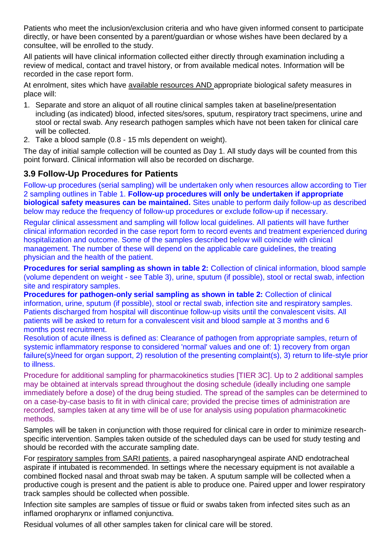Patients who meet the inclusion/exclusion criteria and who have given informed consent to participate directly, or have been consented by a parent/guardian or whose wishes have been declared by a consultee, will be enrolled to the study.

All patients will have clinical information collected either directly through examination including a review of medical, contact and travel history, or from available medical notes. Information will be recorded in the case report form.

At enrolment, sites which have available resources AND appropriate biological safety measures in place will:

- 1. Separate and store an aliquot of all routine clinical samples taken at baseline/presentation including (as indicated) blood, infected sites/sores, sputum, respiratory tract specimens, urine and stool or rectal swab. Any research pathogen samples which have not been taken for clinical care will be collected.
- 2. Take a blood sample (0.8 15 mls dependent on weight).

The day of initial sample collection will be counted as Day 1. All study days will be counted from this point forward. Clinical information will also be recorded on discharge.

## **3.9 Follow-Up Procedures for Patients**

Follow-up procedures (serial sampling) will be undertaken only when resources allow according to Tier 2 sampling outlines in Table 1. **Follow-up procedures will only be undertaken if appropriate biological safety measures can be maintained.** Sites unable to perform daily follow-up as described below may reduce the frequency of follow-up procedures or exclude follow-up if necessary.

Regular clinical assessment and sampling will follow local guidelines. All patients will have further clinical information recorded in the case report form to record events and treatment experienced during hospitalization and outcome. Some of the samples described below will coincide with clinical management. The number of these will depend on the applicable care guidelines, the treating physician and the health of the patient.

**Procedures for serial sampling as shown in table 2:** Collection of clinical information, blood sample (volume dependent on weight - see Table 3), urine, sputum (if possible), stool or rectal swab, infection site and respiratory samples.

**Procedures for pathogen-only serial sampling as shown in table 2:** Collection of clinical information, urine, sputum (if possible), stool or rectal swab, infection site and respiratory samples. Patients discharged from hospital will discontinue follow-up visits until the convalescent visits. All patients will be asked to return for a convalescent visit and blood sample at 3 months and 6 months post recruitment.

Resolution of acute illness is defined as: Clearance of pathogen from appropriate samples, return of systemic inflammatory response to considered 'normal' values and one of: 1) recovery from organ failure(s)/need for organ support, 2) resolution of the presenting complaint(s), 3) return to life-style prior to illness.

Procedure for additional sampling for pharmacokinetics studies [TIER 3C]. Up to 2 additional samples may be obtained at intervals spread throughout the dosing schedule (ideally including one sample immediately before a dose) of the drug being studied. The spread of the samples can be determined to on a case-by-case basis to fit in with clinical care; provided the precise times of administration are recorded, samples taken at any time will be of use for analysis using population pharmacokinetic methods.

Samples will be taken in conjunction with those required for clinical care in order to minimize researchspecific intervention. Samples taken outside of the scheduled days can be used for study testing and should be recorded with the accurate sampling date.

For respiratory samples from SARI patients, a paired nasopharyngeal aspirate AND endotracheal aspirate if intubated is recommended. In settings where the necessary equipment is not available a combined flocked nasal and throat swab may be taken. A sputum sample will be collected when a productive cough is present and the patient is able to produce one. Paired upper and lower respiratory track samples should be collected when possible.

Infection site samples are samples of tissue or fluid or swabs taken from infected sites such as an inflamed oropharynx or inflamed conjunctiva.

Residual volumes of all other samples taken for clinical care will be stored.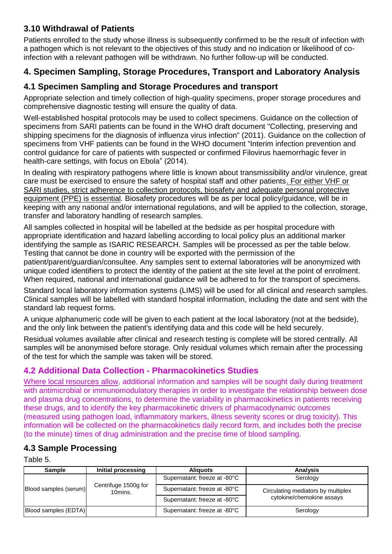# **3.10 Withdrawal of Patients**

Patients enrolled to the study whose illness is subsequently confirmed to be the result of infection with a pathogen which is not relevant to the objectives of this study and no indication or likelihood of coinfection with a relevant pathogen will be withdrawn. No further follow-up will be conducted.

# **4. Specimen Sampling, Storage Procedures, Transport and Laboratory Analysis**

# **4.1 Specimen Sampling and Storage Procedures and transport**

Appropriate selection and timely collection of high-quality specimens, proper storage procedures and comprehensive diagnostic testing will ensure the quality of data.

Well-established hospital protocols may be used to collect specimens. Guidance on the collection of specimens from SARI patients can be found in the WHO draft document "Collecting, preserving and shipping specimens for the diagnosis of influenza virus infection" (2011). Guidance on the collection of specimens from VHF patients can be found in the WHO document "Interim infection prevention and control guidance for care of patients with suspected or confirmed Filovirus haemorrhagic fever in health-care settings, with focus on Ebola" (2014).

In dealing with respiratory pathogens where little is known about transmissibility and/or virulence, great care must be exercised to ensure the safety of hospital staff and other patients. For either VHF or SARI studies, strict adherence to collection protocols, biosafety and adequate personal protective equipment (PPE) is essential. Biosafety procedures will be as per local policy/guidance, will be in keeping with any national and/or international regulations, and will be applied to the collection, storage, transfer and laboratory handling of research samples.

All samples collected in hospital will be labelled at the bedside as per hospital procedure with appropriate identification and hazard labelling according to local policy plus an additional marker identifying the sample as ISARIC RESEARCH. Samples will be processed as per the table below. Testing that cannot be done in country will be exported with the permission of the

patient/parent/guardian/consultee. Any samples sent to external laboratories will be anonymized with unique coded identifiers to protect the identity of the patient at the site level at the point of enrolment. When required, national and international guidance will be adhered to for the transport of specimens.

Standard local laboratory information systems (LIMS) will be used for all clinical and research samples. Clinical samples will be labelled with standard hospital information, including the date and sent with the standard lab request forms.

A unique alphanumeric code will be given to each patient at the local laboratory (not at the bedside), and the only link between the patient's identifying data and this code will be held securely.

Residual volumes available after clinical and research testing is complete will be stored centrally. All samples will be anonymised before storage. Only residual volumes which remain after the processing of the test for which the sample was taken will be stored.

# **4.2 Additional Data Collection - Pharmacokinetics Studies**

Where local resources allow, additional information and samples will be sought daily during treatment with antimicrobial or immunomodulatory therapies in order to investigate the relationship between dose and plasma drug concentrations, to determine the variability in pharmacokinetics in patients receiving these drugs, and to identify the key pharmacokinetic drivers of pharmacodynamic outcomes (measured using pathogen load, inflammatory markers, illness severity scores or drug toxicity). This information will be collected on the pharmacokinetics daily record form, and includes both the precise (to the minute) times of drug administration and the precise time of blood sampling.

# **4.3 Sample Processing**

Table 5.

| <b>Sample</b>         | Initial processing              | <b>Aliguots</b>              | <b>Analysis</b>                    |
|-----------------------|---------------------------------|------------------------------|------------------------------------|
|                       |                                 | Supernatant: freeze at -80°C | Serology                           |
| Blood samples (serum) | Centrifuge 1500g for<br>10mins. | Supernatant: freeze at -80°C | Circulating mediators by multiplex |
|                       |                                 | Supernatant: freeze at -80°C | cytokine/chemokine assays          |
| Blood samples (EDTA)  |                                 | Supernatant: freeze at -80°C | Serology                           |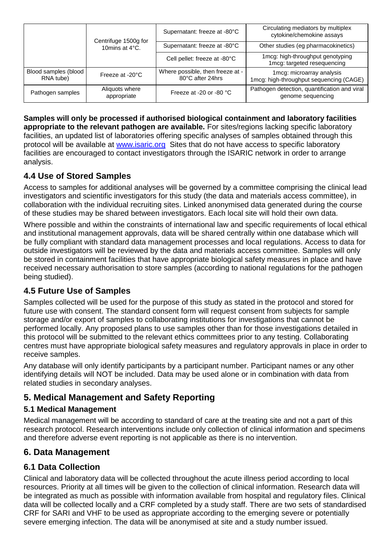|                                   | Centrifuge 1500g for<br>10mins at 4°C. | Supernatant: freeze at -80°C                         | Circulating mediators by multiplex<br>cytokine/chemokine assays      |
|-----------------------------------|----------------------------------------|------------------------------------------------------|----------------------------------------------------------------------|
|                                   |                                        | Supernatant: freeze at -80°C                         | Other studies (eg pharmacokinetics)                                  |
|                                   |                                        | Cell pellet: freeze at -80°C                         | 1mcg: high-throughput genotyping<br>1mcg: targeted resequencing      |
| Blood samples (blood<br>RNA tube) | Freeze at -20°C                        | Where possible, then freeze at -<br>80°C after 24hrs | 1mcg: microarray analysis<br>1mcg: high-throughput sequencing (CAGE) |
| Pathogen samples                  | Aliquots where<br>appropriate          | Freeze at -20 or -80 $^{\circ}$ C                    | Pathogen detection, quantification and viral<br>genome sequencing    |

**Samples will only be processed if authorised biological containment and laboratory facilities appropriate to the relevant pathogen are available.** For sites/regions lacking specific laboratory facilities, an updated list of laboratories offering specific analyses of samples obtained through this protocol will be available at [www.isaric.org](http://www.isaric.org/) Sites that do not have access to specific laboratory facilities are encouraged to contact investigators through the ISARIC network in order to arrange analysis.

# **4.4 Use of Stored Samples**

Access to samples for additional analyses will be governed by a committee comprising the clinical lead investigators and scientific investigators for this study (the data and materials access committee), in collaboration with the individual recruiting sites. Linked anonymised data generated during the course of these studies may be shared between investigators. Each local site will hold their own data.

Where possible and within the constraints of international law and specific requirements of local ethical and institutional management approvals, data will be shared centrally within one database which will be fully compliant with standard data management processes and local regulations. Access to data for outside investigators will be reviewed by the data and materials access committee. Samples will only be stored in containment facilities that have appropriate biological safety measures in place and have received necessary authorisation to store samples (according to national regulations for the pathogen being studied).

## **4.5 Future Use of Samples**

Samples collected will be used for the purpose of this study as stated in the protocol and stored for future use with consent. The standard consent form will request consent from subjects for sample storage and/or export of samples to collaborating institutions for investigations that cannot be performed locally. Any proposed plans to use samples other than for those investigations detailed in this protocol will be submitted to the relevant ethics committees prior to any testing. Collaborating centres must have appropriate biological safety measures and regulatory approvals in place in order to receive samples.

Any database will only identify participants by a participant number. Participant names or any other identifying details will NOT be included. Data may be used alone or in combination with data from related studies in secondary analyses.

# **5. Medical Management and Safety Reporting**

### **5.1 Medical Management**

Medical management will be according to standard of care at the treating site and not a part of this research protocol. Research interventions include only collection of clinical information and specimens and therefore adverse event reporting is not applicable as there is no intervention.

## **6. Data Management**

## **6.1 Data Collection**

Clinical and laboratory data will be collected throughout the acute illness period according to local resources. Priority at all times will be given to the collection of clinical information. Research data will be integrated as much as possible with information available from hospital and regulatory files. Clinical data will be collected locally and a CRF completed by a study staff. There are two sets of standardised CRF for SARI and VHF to be used as appropriate according to the emerging severe or potentially severe emerging infection. The data will be anonymised at site and a study number issued.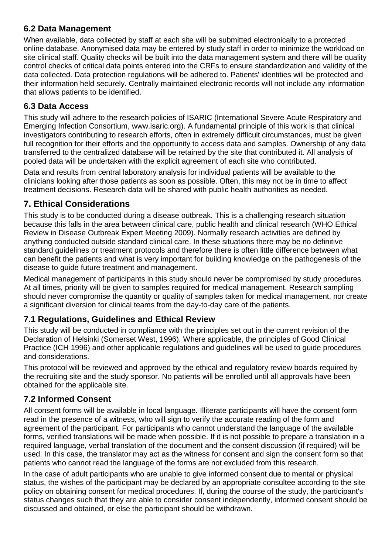## **6.2 Data Management**

When available, data collected by staff at each site will be submitted electronically to a protected online database. Anonymised data may be entered by study staff in order to minimize the workload on site clinical staff. Quality checks will be built into the data management system and there will be quality control checks of critical data points entered into the CRFs to ensure standardization and validity of the data collected. Data protection regulations will be adhered to. Patients' identities will be protected and their information held securely. Centrally maintained electronic records will not include any information that allows patients to be identified.

# **6.3 Data Access**

This study will adhere to the research policies of ISARIC (International Severe Acute Respiratory and Emerging Infection Consortium, www.isaric.org). A fundamental principle of this work is that clinical investigators contributing to research efforts, often in extremely difficult circumstances, must be given full recognition for their efforts and the opportunity to access data and samples. Ownership of any data transferred to the centralized database will be retained by the site that contributed it. All analysis of pooled data will be undertaken with the explicit agreement of each site who contributed.

Data and results from central laboratory analysis for individual patients will be available to the clinicians looking after those patients as soon as possible. Often, this may not be in time to affect treatment decisions. Research data will be shared with public health authorities as needed.

# **7. Ethical Considerations**

This study is to be conducted during a disease outbreak. This is a challenging research situation because this falls in the area between clinical care, public health and clinical research (WHO Ethical Review in Disease Outbreak Expert Meeting 2009). Normally research activities are defined by anything conducted outside standard clinical care. In these situations there may be no definitive standard guidelines or treatment protocols and therefore there is often little difference between what can benefit the patients and what is very important for building knowledge on the pathogenesis of the disease to guide future treatment and management.

Medical management of participants in this study should never be compromised by study procedures. At all times, priority will be given to samples required for medical management. Research sampling should never compromise the quantity or quality of samples taken for medical management, nor create a significant diversion for clinical teams from the day-to-day care of the patients.

# **7.1 Regulations, Guidelines and Ethical Review**

This study will be conducted in compliance with the principles set out in the current revision of the Declaration of Helsinki (Somerset West, 1996). Where applicable, the principles of Good Clinical Practice (ICH 1996) and other applicable regulations and guidelines will be used to guide procedures and considerations.

This protocol will be reviewed and approved by the ethical and regulatory review boards required by the recruiting site and the study sponsor. No patients will be enrolled until all approvals have been obtained for the applicable site.

# **7.2 Informed Consent**

All consent forms will be available in local language. Illiterate participants will have the consent form read in the presence of a witness, who will sign to verify the accurate reading of the form and agreement of the participant. For participants who cannot understand the language of the available forms, verified translations will be made when possible. If it is not possible to prepare a translation in a required language, verbal translation of the document and the consent discussion (if required) will be used. In this case, the translator may act as the witness for consent and sign the consent form so that patients who cannot read the language of the forms are not excluded from this research.

In the case of adult participants who are unable to give informed consent due to mental or physical status, the wishes of the participant may be declared by an appropriate consultee according to the site policy on obtaining consent for medical procedures. If, during the course of the study, the participant's status changes such that they are able to consider consent independently, informed consent should be discussed and obtained, or else the participant should be withdrawn.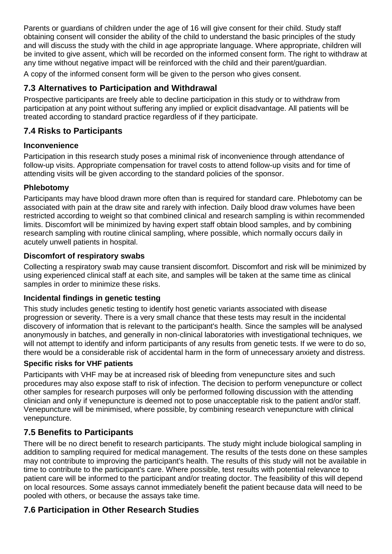Parents or guardians of children under the age of 16 will give consent for their child. Study staff obtaining consent will consider the ability of the child to understand the basic principles of the study and will discuss the study with the child in age appropriate language. Where appropriate, children will be invited to give assent, which will be recorded on the informed consent form. The right to withdraw at any time without negative impact will be reinforced with the child and their parent/guardian.

A copy of the informed consent form will be given to the person who gives consent.

# **7.3 Alternatives to Participation and Withdrawal**

Prospective participants are freely able to decline participation in this study or to withdraw from participation at any point without suffering any implied or explicit disadvantage. All patients will be treated according to standard practice regardless of if they participate.

# **7.4 Risks to Participants**

### **Inconvenience**

Participation in this research study poses a minimal risk of inconvenience through attendance of follow-up visits. Appropriate compensation for travel costs to attend follow-up visits and for time of attending visits will be given according to the standard policies of the sponsor.

### **Phlebotomy**

Participants may have blood drawn more often than is required for standard care. Phlebotomy can be associated with pain at the draw site and rarely with infection. Daily blood draw volumes have been restricted according to weight so that combined clinical and research sampling is within recommended limits. Discomfort will be minimized by having expert staff obtain blood samples, and by combining research sampling with routine clinical sampling, where possible, which normally occurs daily in acutely unwell patients in hospital.

### **Discomfort of respiratory swabs**

Collecting a respiratory swab may cause transient discomfort. Discomfort and risk will be minimized by using experienced clinical staff at each site, and samples will be taken at the same time as clinical samples in order to minimize these risks.

### **Incidental findings in genetic testing**

This study includes genetic testing to identify host genetic variants associated with disease progression or severity. There is a very small chance that these tests may result in the incidental discovery of information that is relevant to the participant's health. Since the samples will be analysed anonymously in batches, and generally in non-clinical laboratories with investigational techniques, we will not attempt to identify and inform participants of any results from genetic tests. If we were to do so, there would be a considerable risk of accidental harm in the form of unnecessary anxiety and distress.

### **Specific risks for VHF patients**

Participants with VHF may be at increased risk of bleeding from venepuncture sites and such procedures may also expose staff to risk of infection. The decision to perform venepuncture or collect other samples for research purposes will only be performed following discussion with the attending clinician and only if venepuncture is deemed not to pose unacceptable risk to the patient and/or staff. Venepuncture will be minimised, where possible, by combining research venepuncture with clinical venepuncture.

## **7.5 Benefits to Participants**

There will be no direct benefit to research participants. The study might include biological sampling in addition to sampling required for medical management. The results of the tests done on these samples may not contribute to improving the participant's health. The results of this study will not be available in time to contribute to the participant's care. Where possible, test results with potential relevance to patient care will be informed to the participant and/or treating doctor. The feasibility of this will depend on local resources. Some assays cannot immediately benefit the patient because data will need to be pooled with others, or because the assays take time.

### **7.6 Participation in Other Research Studies**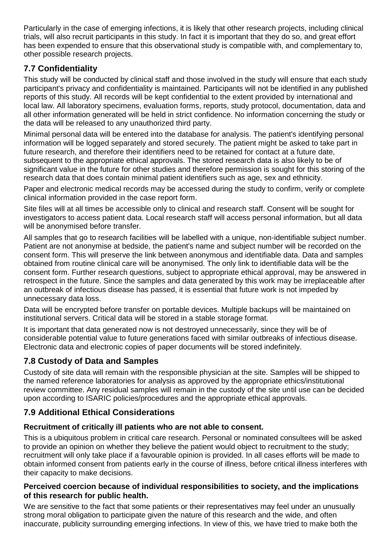Particularly in the case of emerging infections, it is likely that other research projects, including clinical trials, will also recruit participants in this study. In fact it is important that they do so, and great effort has been expended to ensure that this observational study is compatible with, and complementary to, other possible research projects.

# **7.7 Confidentiality**

This study will be conducted by clinical staff and those involved in the study will ensure that each study participant's privacy and confidentiality is maintained. Participants will not be identified in any published reports of this study. All records will be kept confidential to the extent provided by international and local law. All laboratory specimens, evaluation forms, reports, study protocol, documentation, data and all other information generated will be held in strict confidence. No information concerning the study or the data will be released to any unauthorized third party.

Minimal personal data will be entered into the database for analysis. The patient's identifying personal information will be logged separately and stored securely. The patient might be asked to take part in future research, and therefore their identifiers need to be retained for contact at a future date, subsequent to the appropriate ethical approvals. The stored research data is also likely to be of significant value in the future for other studies and therefore permission is sought for this storing of the research data that does contain minimal patient identifiers such as age, sex and ethnicity.

Paper and electronic medical records may be accessed during the study to confirm, verify or complete clinical information provided in the case report form.

Site files will at all times be accessible only to clinical and research staff. Consent will be sought for investigators to access patient data. Local research staff will access personal information, but all data will be anonymised before transfer.

All samples that go to research facilities will be labelled with a unique, non-identifiable subject number. Patient are not anonymise at bedside, the patient's name and subject number will be recorded on the consent form. This will preserve the link between anonymous and identifiable data. Data and samples obtained from routine clinical care will be anonymised. The only link to identifiable data will be the consent form. Further research questions, subject to appropriate ethical approval, may be answered in retrospect in the future. Since the samples and data generated by this work may be irreplaceable after an outbreak of infectious disease has passed, it is essential that future work is not impeded by unnecessary data loss.

Data will be encrypted before transfer on portable devices. Multiple backups will be maintained on institutional servers. Critical data will be stored in a stable storage format.

It is important that data generated now is not destroyed unnecessarily, since they will be of considerable potential value to future generations faced with similar outbreaks of infectious disease. Electronic data and electronic copies of paper documents will be stored indefinitely.

# **7.8 Custody of Data and Samples**

Custody of site data will remain with the responsible physician at the site. Samples will be shipped to the named reference laboratories for analysis as approved by the appropriate ethics/institutional review committee. Any residual samples will remain in the custody of the site until use can be decided upon according to ISARIC policies/procedures and the appropriate ethical approvals.

# **7.9 Additional Ethical Considerations**

## **Recruitment of critically ill patients who are not able to consent.**

This is a ubiquitous problem in critical care research. Personal or nominated consultees will be asked to provide an opinion on whether they believe the patient would object to recruitment to the study; recruitment will only take place if a favourable opinion is provided. In all cases efforts will be made to obtain informed consent from patients early in the course of illness, before critical illness interferes with their capacity to make decisions.

### **Perceived coercion because of individual responsibilities to society, and the implications of this research for public health.**

We are sensitive to the fact that some patients or their representatives may feel under an unusually strong moral obligation to participate given the nature of this research and the wide, and often inaccurate, publicity surrounding emerging infections. In view of this, we have tried to make both the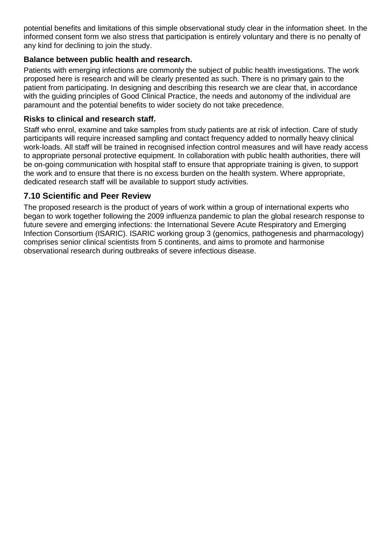potential benefits and limitations of this simple observational study clear in the information sheet. In the informed consent form we also stress that participation is entirely voluntary and there is no penalty of any kind for declining to join the study.

### **Balance between public health and research.**

Patients with emerging infections are commonly the subject of public health investigations. The work proposed here is research and will be clearly presented as such. There is no primary gain to the patient from participating. In designing and describing this research we are clear that, in accordance with the guiding principles of Good Clinical Practice, the needs and autonomy of the individual are paramount and the potential benefits to wider society do not take precedence.

#### **Risks to clinical and research staff.**

Staff who enrol, examine and take samples from study patients are at risk of infection. Care of study participants will require increased sampling and contact frequency added to normally heavy clinical work-loads. All staff will be trained in recognised infection control measures and will have ready access to appropriate personal protective equipment. In collaboration with public health authorities, there will be on-going communication with hospital staff to ensure that appropriate training is given, to support the work and to ensure that there is no excess burden on the health system. Where appropriate, dedicated research staff will be available to support study activities.

### **7.10 Scientific and Peer Review**

The proposed research is the product of years of work within a group of international experts who began to work together following the 2009 influenza pandemic to plan the global research response to future severe and emerging infections: the International Severe Acute Respiratory and Emerging Infection Consortium (ISARIC). ISARIC working group 3 (genomics, pathogenesis and pharmacology) comprises senior clinical scientists from 5 continents, and aims to promote and harmonise observational research during outbreaks of severe infectious disease.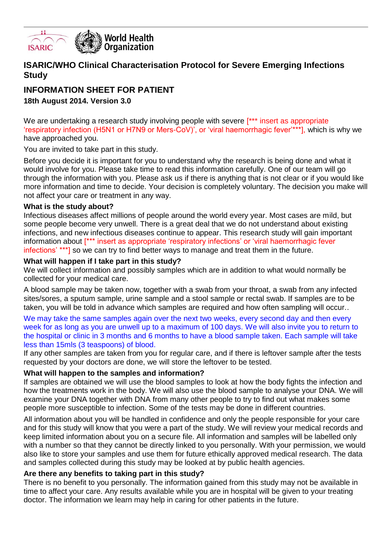

### **ISARIC/WHO Clinical Characterisation Protocol for Severe Emerging Infections Study**

# **INFORMATION SHEET FOR PATIENT**

### **18th August 2014. Version 3.0**

We are undertaking a research study involving people with severe [\*\*\* insert as appropriate 'respiratory infection (H5N1 or H7N9 or Mers-CoV)', or 'viral haemorrhagic fever'\*\*\*], which is why we have approached you.

You are invited to take part in this study.

Before you decide it is important for you to understand why the research is being done and what it would involve for you. Please take time to read this information carefully. One of our team will go through the information with you. Please ask us if there is anything that is not clear or if you would like more information and time to decide. Your decision is completely voluntary. The decision you make will not affect your care or treatment in any way.

#### **What is the study about?**

Infectious diseases affect millions of people around the world every year. Most cases are mild, but some people become very unwell. There is a great deal that we do not understand about existing infections, and new infectious diseases continue to appear. This research study will gain important information about [\*\*\* insert as appropriate 'respiratory infections' or 'viral haemorrhagic fever infections' \*\*\*] so we can try to find better ways to manage and treat them in the future.

#### **What will happen if I take part in this study?**

We will collect information and possibly samples which are in addition to what would normally be collected for your medical care.

A blood sample may be taken now, together with a swab from your throat, a swab from any infected sites/sores, a sputum sample, urine sample and a stool sample or rectal swab. If samples are to be taken, you will be told in advance which samples are required and how often sampling will occur..

We may take the same samples again over the next two weeks, every second day and then every week for as long as you are unwell up to a maximum of 100 days. We will also invite you to return to the hospital or clinic in 3 months and 6 months to have a blood sample taken. Each sample will take less than 15mls (3 teaspoons) of blood.

If any other samples are taken from you for regular care, and if there is leftover sample after the tests requested by your doctors are done, we will store the leftover to be tested.

#### **What will happen to the samples and information?**

If samples are obtained we will use the blood samples to look at how the body fights the infection and how the treatments work in the body. We will also use the blood sample to analyse your DNA. We will examine your DNA together with DNA from many other people to try to find out what makes some people more susceptible to infection. Some of the tests may be done in different countries.

All information about you will be handled in confidence and only the people responsible for your care and for this study will know that you were a part of the study. We will review your medical records and keep limited information about you on a secure file. All information and samples will be labelled only with a number so that they cannot be directly linked to you personally. With your permission, we would also like to store your samples and use them for future ethically approved medical research. The data and samples collected during this study may be looked at by public health agencies.

#### **Are there any benefits to taking part in this study?**

There is no benefit to you personally. The information gained from this study may not be available in time to affect your care. Any results available while you are in hospital will be given to your treating doctor. The information we learn may help in caring for other patients in the future.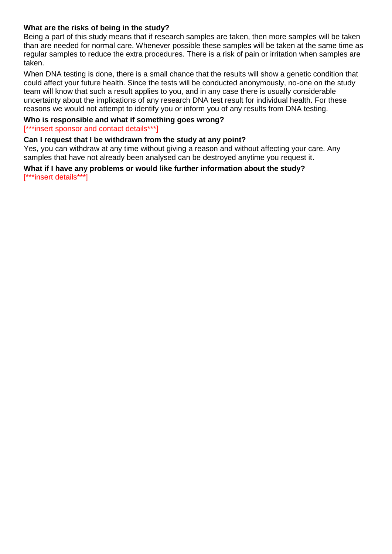#### **What are the risks of being in the study?**

Being a part of this study means that if research samples are taken, then more samples will be taken than are needed for normal care. Whenever possible these samples will be taken at the same time as regular samples to reduce the extra procedures. There is a risk of pain or irritation when samples are taken.

When DNA testing is done, there is a small chance that the results will show a genetic condition that could affect your future health. Since the tests will be conducted anonymously, no-one on the study team will know that such a result applies to you, and in any case there is usually considerable uncertainty about the implications of any research DNA test result for individual health. For these reasons we would not attempt to identify you or inform you of any results from DNA testing.

#### **Who is responsible and what if something goes wrong?**

#### [\*\*\*insert sponsor and contact details\*\*\*]

#### **Can I request that I be withdrawn from the study at any point?**

Yes, you can withdraw at any time without giving a reason and without affecting your care. Any samples that have not already been analysed can be destroyed anytime you request it.

#### **What if I have any problems or would like further information about the study?** [\*\*\*insert details\*\*\*]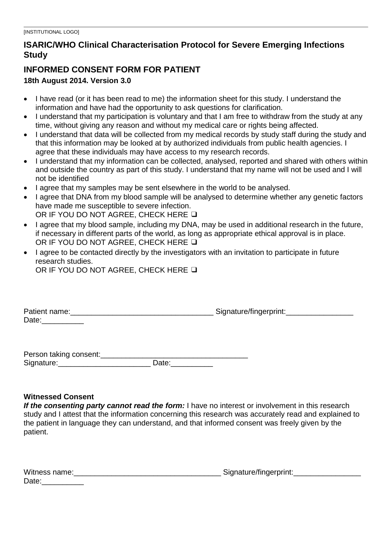# **ISARIC/WHO Clinical Characterisation Protocol for Severe Emerging Infections Study**

# **INFORMED CONSENT FORM FOR PATIENT**

### **18th August 2014. Version 3.0**

- I have read (or it has been read to me) the information sheet for this study. I understand the information and have had the opportunity to ask questions for clarification.
- I understand that my participation is voluntary and that I am free to withdraw from the study at any time, without giving any reason and without my medical care or rights being affected.
- I understand that data will be collected from my medical records by study staff during the study and that this information may be looked at by authorized individuals from public health agencies. I agree that these individuals may have access to my research records.
- I understand that my information can be collected, analysed, reported and shared with others within and outside the country as part of this study. I understand that my name will not be used and I will not be identified
- I agree that my samples may be sent elsewhere in the world to be analysed.
- I agree that DNA from my blood sample will be analysed to determine whether any genetic factors have made me susceptible to severe infection. OR IF YOU DO NOT AGREE, CHECK HERE ❑
- I agree that my blood sample, including my DNA, may be used in additional research in the future, if necessary in different parts of the world, as long as appropriate ethical approval is in place. OR IF YOU DO NOT AGREE, CHECK HERE ❑
- I agree to be contacted directly by the investigators with an invitation to participate in future research studies. OR IF YOU DO NOT AGREE, CHECK HERE ❑

| Patient name: | Signature/fingerprint: |
|---------------|------------------------|
| Date:         |                        |

| Person taking consent: |       |
|------------------------|-------|
| Signature:             | Date: |

#### **Witnessed Consent**

*If the consenting party cannot read the form:* I have no interest or involvement in this research study and I attest that the information concerning this research was accurately read and explained to the patient in language they can understand, and that informed consent was freely given by the patient.

| Witness name: | Signature/fingerprint: |
|---------------|------------------------|
| Date:         |                        |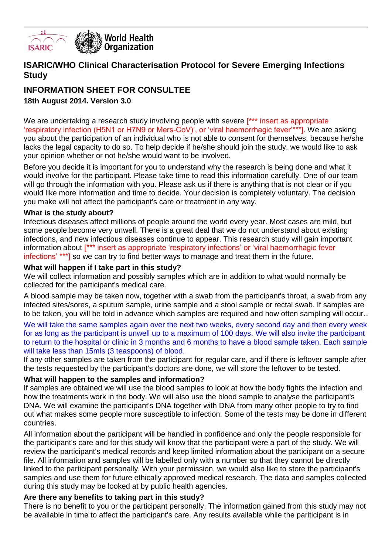

### **ISARIC/WHO Clinical Characterisation Protocol for Severe Emerging Infections Study**

# **INFORMATION SHEET FOR CONSULTEE**

### **18th August 2014. Version 3.0**

We are undertaking a research study involving people with severe [\*\*\* insert as appropriate 'respiratory infection (H5N1 or H7N9 or Mers-CoV)', or 'viral haemorrhagic fever'\*\*\*]. We are asking you about the participation of an individual who is not able to consent for themselves, because he/she lacks the legal capacity to do so. To help decide if he/she should join the study, we would like to ask your opinion whether or not he/she would want to be involved.

Before you decide it is important for you to understand why the research is being done and what it would involve for the participant. Please take time to read this information carefully. One of our team will go through the information with you. Please ask us if there is anything that is not clear or if you would like more information and time to decide. Your decision is completely voluntary. The decision you make will not affect the participant's care or treatment in any way.

#### **What is the study about?**

Infectious diseases affect millions of people around the world every year. Most cases are mild, but some people become very unwell. There is a great deal that we do not understand about existing infections, and new infectious diseases continue to appear. This research study will gain important information about [\*\*\* insert as appropriate 'respiratory infections' or 'viral haemorrhagic fever infections' \*\*\*] so we can try to find better ways to manage and treat them in the future.

#### **What will happen if I take part in this study?**

We will collect information and possibly samples which are in addition to what would normally be collected for the participant's medical care.

A blood sample may be taken now, together with a swab from the participant's throat, a swab from any infected sites/sores, a sputum sample, urine sample and a stool sample or rectal swab. If samples are to be taken, you will be told in advance which samples are required and how often sampling will occur..

We will take the same samples again over the next two weeks, every second day and then every week for as long as the participant is unwell up to a maximum of 100 days. We will also invite the participant to return to the hospital or clinic in 3 months and 6 months to have a blood sample taken. Each sample will take less than 15mls (3 teaspoons) of blood.

If any other samples are taken from the participant for regular care, and if there is leftover sample after the tests requested by the participant's doctors are done, we will store the leftover to be tested.

#### **What will happen to the samples and information?**

If samples are obtained we will use the blood samples to look at how the body fights the infection and how the treatments work in the body. We will also use the blood sample to analyse the participant's DNA. We will examine the participant's DNA together with DNA from many other people to try to find out what makes some people more susceptible to infection. Some of the tests may be done in different countries.

All information about the participant will be handled in confidence and only the people responsible for the participant's care and for this study will know that the participant were a part of the study. We will review the participant's medical records and keep limited information about the participant on a secure file. All information and samples will be labelled only with a number so that they cannot be directly linked to the participant personally. With your permission, we would also like to store the participant's samples and use them for future ethically approved medical research. The data and samples collected during this study may be looked at by public health agencies.

#### **Are there any benefits to taking part in this study?**

There is no benefit to you or the participant personally. The information gained from this study may not be available in time to affect the participant's care. Any results available while the pariticipant is in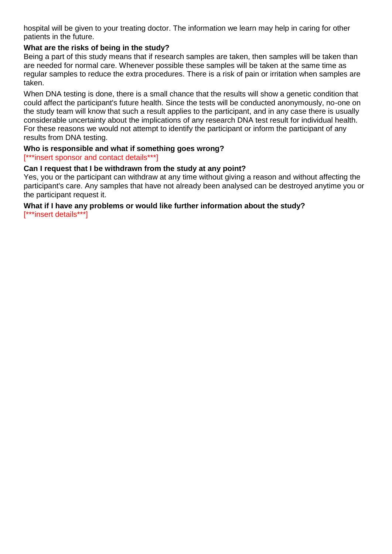hospital will be given to your treating doctor. The information we learn may help in caring for other patients in the future.

#### **What are the risks of being in the study?**

Being a part of this study means that if research samples are taken, then samples will be taken than are needed for normal care. Whenever possible these samples will be taken at the same time as regular samples to reduce the extra procedures. There is a risk of pain or irritation when samples are taken.

When DNA testing is done, there is a small chance that the results will show a genetic condition that could affect the participant's future health. Since the tests will be conducted anonymously, no-one on the study team will know that such a result applies to the participant, and in any case there is usually considerable uncertainty about the implications of any research DNA test result for individual health. For these reasons we would not attempt to identify the participant or inform the participant of any results from DNA testing.

# **Who is responsible and what if something goes wrong?**

[\*\*\*insert sponsor and contact details\*\*\*]

#### **Can I request that I be withdrawn from the study at any point?**

Yes, you or the participant can withdraw at any time without giving a reason and without affecting the participant's care. Any samples that have not already been analysed can be destroyed anytime you or the participant request it.

# **What if I have any problems or would like further information about the study?**

[\*\*\*insert details\*\*\*]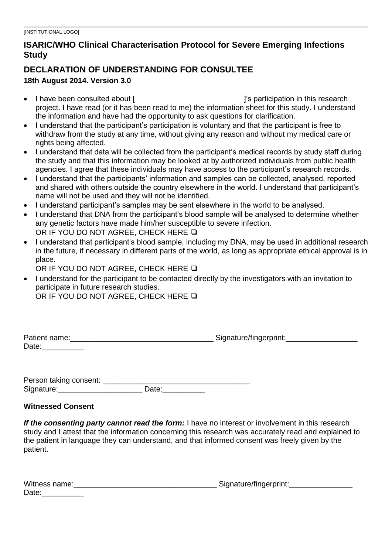# **ISARIC/WHO Clinical Characterisation Protocol for Severe Emerging Infections Study**

# **DECLARATION OF UNDERSTANDING FOR CONSULTEE**

### **18th August 2014. Version 3.0**

- I have been consulted about [ ]  $\qquad \qquad$  i's participation in this research project. I have read (or it has been read to me) the information sheet for this study. I understand the information and have had the opportunity to ask questions for clarification.
- I understand that the participant's participation is voluntary and that the participant is free to withdraw from the study at any time, without giving any reason and without my medical care or rights being affected.
- I understand that data will be collected from the participant's medical records by study staff during the study and that this information may be looked at by authorized individuals from public health agencies. I agree that these individuals may have access to the participant's research records.
- I understand that the participants' information and samples can be collected, analysed, reported and shared with others outside the country elsewhere in the world. I understand that participant's name will not be used and they will not be identified.
- I understand participant's samples may be sent elsewhere in the world to be analysed.
- I understand that DNA from the participant's blood sample will be analysed to determine whether any genetic factors have made him/her susceptible to severe infection. OR IF YOU DO NOT AGREE, CHECK HERE ❑
- I understand that participant's blood sample, including my DNA, may be used in additional research in the future, if necessary in different parts of the world, as long as appropriate ethical approval is in place.

OR IF YOU DO NOT AGREE, CHECK HERE ❑

 I understand for the participant to be contacted directly by the investigators with an invitation to participate in future research studies.

OR IF YOU DO NOT AGREE, CHECK HERE ❑

| Patient name: | Signature/fingerprint: |
|---------------|------------------------|
| Date:         |                        |

Person taking consent: \_\_\_\_\_\_\_\_\_\_\_\_\_\_\_\_\_\_\_\_\_\_\_\_\_\_\_\_\_\_\_\_\_\_\_ Signature:\_\_\_\_\_\_\_\_\_\_\_\_\_\_\_\_\_\_\_\_ Date:\_\_\_\_\_\_\_\_\_\_

### **Witnessed Consent**

*If the consenting party cannot read the form:* I have no interest or involvement in this research study and I attest that the information concerning this research was accurately read and explained to the patient in language they can understand, and that informed consent was freely given by the patient.

| Witness name: | Signature/fingerprint: |
|---------------|------------------------|
| Date:         |                        |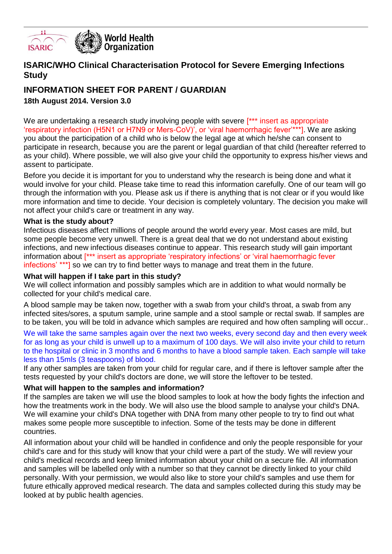

### **ISARIC/WHO Clinical Characterisation Protocol for Severe Emerging Infections Study**

# **INFORMATION SHEET FOR PARENT / GUARDIAN**

**18th August 2014. Version 3.0**

We are undertaking a research study involving people with severe [\*\*\* insert as appropriate 'respiratory infection (H5N1 or H7N9 or Mers-CoV)', or 'viral haemorrhagic fever'\*\*\*]. We are asking you about the participation of a child who is below the legal age at which he/she can consent to participate in research, because you are the parent or legal guardian of that child (hereafter referred to as your child). Where possible, we will also give your child the opportunity to express his/her views and assent to participate.

Before you decide it is important for you to understand why the research is being done and what it would involve for your child. Please take time to read this information carefully. One of our team will go through the information with you. Please ask us if there is anything that is not clear or if you would like more information and time to decide. Your decision is completely voluntary. The decision you make will not affect your child's care or treatment in any way.

#### **What is the study about?**

Infectious diseases affect millions of people around the world every year. Most cases are mild, but some people become very unwell. There is a great deal that we do not understand about existing infections, and new infectious diseases continue to appear. This research study will gain important information about [\*\*\* insert as appropriate 'respiratory infections' or 'viral haemorrhagic fever infections' \*\*\*] so we can try to find better ways to manage and treat them in the future.

#### **What will happen if I take part in this study?**

We will collect information and possibly samples which are in addition to what would normally be collected for your child's medical care.

A blood sample may be taken now, together with a swab from your child's throat, a swab from any infected sites/sores, a sputum sample, urine sample and a stool sample or rectal swab. If samples are to be taken, you will be told in advance which samples are required and how often sampling will occur..

We will take the same samples again over the next two weeks, every second day and then every week for as long as your child is unwell up to a maximum of 100 days. We will also invite your child to return to the hospital or clinic in 3 months and 6 months to have a blood sample taken. Each sample will take less than 15mls (3 teaspoons) of blood.

If any other samples are taken from your child for regular care, and if there is leftover sample after the tests requested by your child's doctors are done, we will store the leftover to be tested.

#### **What will happen to the samples and information?**

If the samples are taken we will use the blood samples to look at how the body fights the infection and how the treatments work in the body. We will also use the blood sample to analyse your child's DNA. We will examine your child's DNA together with DNA from many other people to try to find out what makes some people more susceptible to infection. Some of the tests may be done in different countries.

All information about your child will be handled in confidence and only the people responsible for your child's care and for this study will know that your child were a part of the study. We will review your child's medical records and keep limited information about your child on a secure file. All information and samples will be labelled only with a number so that they cannot be directly linked to your child personally. With your permission, we would also like to store your child's samples and use them for future ethically approved medical research. The data and samples collected during this study may be looked at by public health agencies.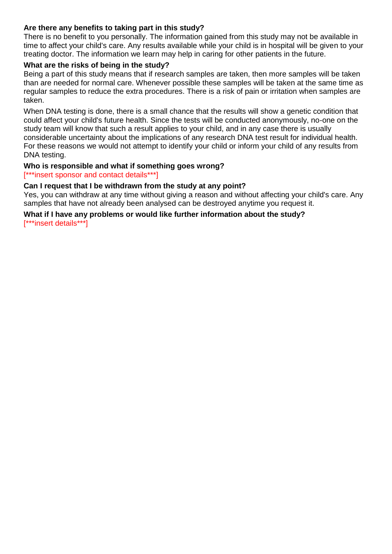#### **Are there any benefits to taking part in this study?**

There is no benefit to you personally. The information gained from this study may not be available in time to affect your child's care. Any results available while your child is in hospital will be given to your treating doctor. The information we learn may help in caring for other patients in the future.

#### **What are the risks of being in the study?**

Being a part of this study means that if research samples are taken, then more samples will be taken than are needed for normal care. Whenever possible these samples will be taken at the same time as regular samples to reduce the extra procedures. There is a risk of pain or irritation when samples are taken.

When DNA testing is done, there is a small chance that the results will show a genetic condition that could affect your child's future health. Since the tests will be conducted anonymously, no-one on the study team will know that such a result applies to your child, and in any case there is usually considerable uncertainty about the implications of any research DNA test result for individual health. For these reasons we would not attempt to identify your child or inform your child of any results from DNA testing.

#### **Who is responsible and what if something goes wrong?**

[\*\*\*insert sponsor and contact details\*\*\*]

#### **Can I request that I be withdrawn from the study at any point?**

Yes, you can withdraw at any time without giving a reason and without affecting your child's care. Any samples that have not already been analysed can be destroyed anytime you request it.

#### **What if I have any problems or would like further information about the study?**

[\*\*\*insert details\*\*\*]